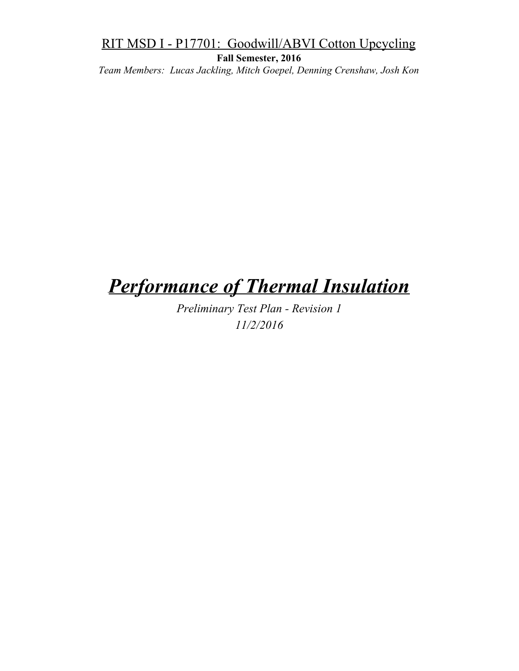**Fall Semester, 2016**

*Team Members: Lucas Jackling, Mitch Goepel, Denning Crenshaw, Josh Kon*

# *Performance of Thermal Insulation*

*Preliminary Test Plan - Revision 1 11/2/2016*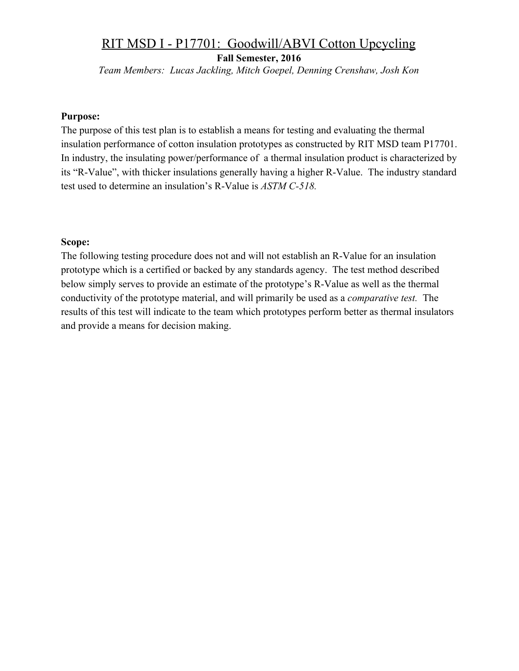**Fall Semester, 2016**

*Team Members: Lucas Jackling, Mitch Goepel, Denning Crenshaw, Josh Kon*

#### **Purpose:**

The purpose of this test plan is to establish a means for testing and evaluating the thermal insulation performance of cotton insulation prototypes as constructed by RIT MSD team P17701. In industry, the insulating power/performance of a thermal insulation product is characterized by its "R-Value", with thicker insulations generally having a higher R-Value. The industry standard test used to determine an insulation's R-Value is *ASTM C-518.*

#### **Scope:**

The following testing procedure does not and will not establish an R-Value for an insulation prototype which is a certified or backed by any standards agency. The test method described below simply serves to provide an estimate of the prototype's R-Value as well as the thermal conductivity of the prototype material, and will primarily be used as a *comparative test.* The results of this test will indicate to the team which prototypes perform better as thermal insulators and provide a means for decision making.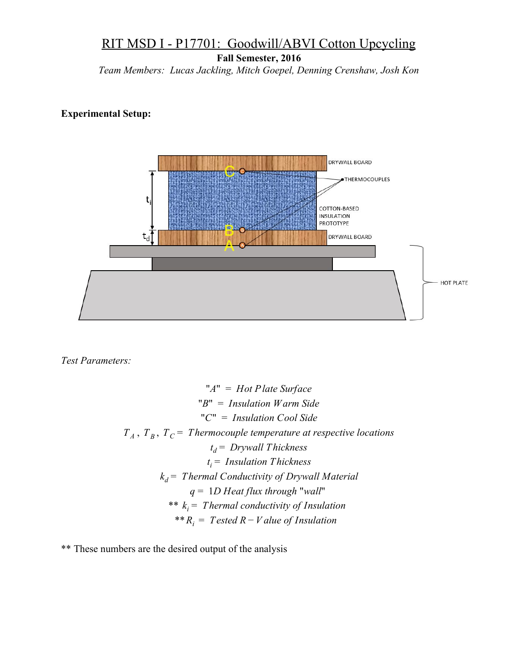**Fall Semester, 2016**

*Team Members: Lucas Jackling, Mitch Goepel, Denning Crenshaw, Josh Kon*

#### **Experimental Setup:**



*Test Parameters:*

"\n
$$
A'' = Hot Plate Surface
$$
\n"\n $B'' = Insulation Warm Side$ \n"\n $C'' = Insulation Cool Side$ \n\n $T_A, T_B, T_C = Thermocouple temperature at respective locations$ \n $t_d = Drywall Thichness$ \n $t_i = Insulation Thichness$ \n $k_d = Thermal Conductivity of Drywall Material$ \n $q = 1D Heat flux through "wall"$ \n $** k_i = Thermal conductivity of Insulation$ \n $** R_i = Tested R - Value of Insulation$ 

\*\* These numbers are the desired output of the analysis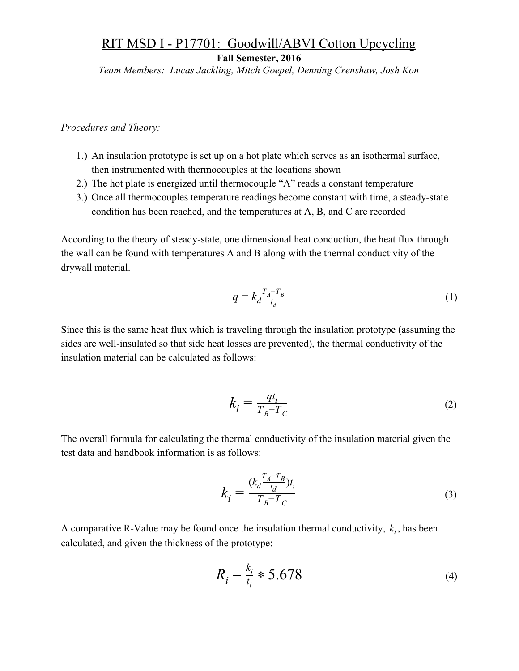**Fall Semester, 2016**

*Team Members: Lucas Jackling, Mitch Goepel, Denning Crenshaw, Josh Kon*

*Procedures and Theory:*

- 1.) An insulation prototype is set up on a hot plate which serves as an isothermal surface, then instrumented with thermocouples at the locations shown
- 2.) The hot plate is energized until thermocouple "A" reads a constant temperature
- 3.) Once all thermocouples temperature readings become constant with time, a steady-state condition has been reached, and the temperatures at A, B, and C are recorded

According to the theory of steady-state, one dimensional heat conduction, the heat flux through the wall can be found with temperatures A and B along with the thermal conductivity of the drywall material.

$$
q = k_d \frac{T_A - T_B}{t_d} \tag{1}
$$

Since this is the same heat flux which is traveling through the insulation prototype (assuming the sides are well-insulated so that side heat losses are prevented), the thermal conductivity of the insulation material can be calculated as follows:

$$
k_i = \frac{qt_i}{T_B - T_C} \tag{2}
$$

The overall formula for calculating the thermal conductivity of the insulation material given the test data and handbook information is as follows:

$$
k_{i} = \frac{(k_{d} \frac{T_{A} - T_{B}}{t_{d}})t_{i}}{T_{B} - T_{C}}
$$
(3)

A comparative R-Value may be found once the insulation thermal conductivity,  $k_i$ , has been calculated, and given the thickness of the prototype:

$$
R_i = \frac{k_i}{t_i} * 5.678
$$
 (4)